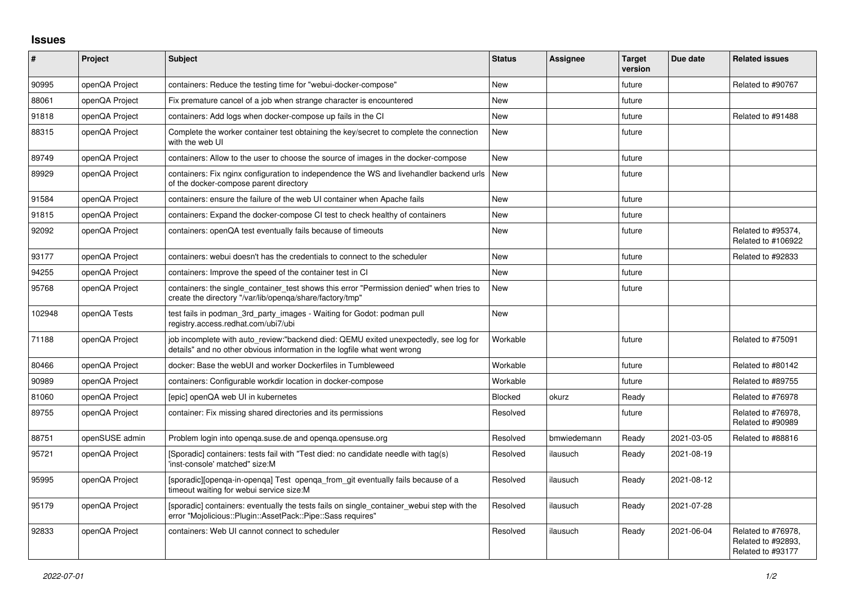## **Issues**

| #      | <b>Project</b> | <b>Subject</b>                                                                                                                                                   | <b>Status</b> | <b>Assignee</b> | <b>Target</b><br>version | Due date   | <b>Related issues</b>                                         |
|--------|----------------|------------------------------------------------------------------------------------------------------------------------------------------------------------------|---------------|-----------------|--------------------------|------------|---------------------------------------------------------------|
| 90995  | openQA Project | containers: Reduce the testing time for "webui-docker-compose"                                                                                                   | <b>New</b>    |                 | future                   |            | Related to #90767                                             |
| 88061  | openQA Project | Fix premature cancel of a job when strange character is encountered                                                                                              | New           |                 | future                   |            |                                                               |
| 91818  | openQA Project | containers: Add logs when docker-compose up fails in the CI                                                                                                      | <b>New</b>    |                 | future                   |            | Related to #91488                                             |
| 88315  | openQA Project | Complete the worker container test obtaining the key/secret to complete the connection<br>with the web UI                                                        | <b>New</b>    |                 | future                   |            |                                                               |
| 89749  | openQA Project | containers: Allow to the user to choose the source of images in the docker-compose                                                                               | <b>New</b>    |                 | future                   |            |                                                               |
| 89929  | openQA Project | containers: Fix nginx configuration to independence the WS and livehandler backend urls<br>of the docker-compose parent directory                                | <b>New</b>    |                 | future                   |            |                                                               |
| 91584  | openQA Project | containers: ensure the failure of the web UI container when Apache fails                                                                                         | <b>New</b>    |                 | future                   |            |                                                               |
| 91815  | openQA Project | containers: Expand the docker-compose CI test to check healthy of containers                                                                                     | <b>New</b>    |                 | future                   |            |                                                               |
| 92092  | openQA Project | containers: openQA test eventually fails because of timeouts                                                                                                     | <b>New</b>    |                 | future                   |            | Related to #95374,<br>Related to #106922                      |
| 93177  | openQA Project | containers: webui doesn't has the credentials to connect to the scheduler                                                                                        | New           |                 | future                   |            | Related to #92833                                             |
| 94255  | openQA Project | containers: Improve the speed of the container test in CI                                                                                                        | <b>New</b>    |                 | future                   |            |                                                               |
| 95768  | openQA Project | containers: the single container test shows this error "Permission denied" when tries to<br>create the directory "/var/lib/openqa/share/factory/tmp"             | New           |                 | future                   |            |                                                               |
| 102948 | openQA Tests   | test fails in podman_3rd_party_images - Waiting for Godot: podman pull<br>registry.access.redhat.com/ubi7/ubi                                                    | <b>New</b>    |                 |                          |            |                                                               |
| 71188  | openQA Project | job incomplete with auto_review:"backend died: QEMU exited unexpectedly, see log for<br>details" and no other obvious information in the logfile what went wrong | Workable      |                 | future                   |            | Related to #75091                                             |
| 80466  | openQA Project | docker: Base the webUI and worker Dockerfiles in Tumbleweed                                                                                                      | Workable      |                 | future                   |            | Related to #80142                                             |
| 90989  | openQA Project | containers: Configurable workdir location in docker-compose                                                                                                      | Workable      |                 | future                   |            | Related to #89755                                             |
| 81060  | openQA Project | [epic] openQA web UI in kubernetes                                                                                                                               | Blocked       | okurz           | Ready                    |            | Related to #76978                                             |
| 89755  | openQA Project | container: Fix missing shared directories and its permissions                                                                                                    | Resolved      |                 | future                   |            | Related to #76978,<br>Related to #90989                       |
| 88751  | openSUSE admin | Problem login into openga.suse.de and openga.opensuse.org                                                                                                        | Resolved      | bmwiedemann     | Ready                    | 2021-03-05 | Related to #88816                                             |
| 95721  | openQA Project | [Sporadic] containers: tests fail with "Test died: no candidate needle with tag(s)<br>'inst-console' matched" size:M                                             | Resolved      | ilausuch        | Ready                    | 2021-08-19 |                                                               |
| 95995  | openQA Project | [sporadic][openqa-in-openqa] Test openqa_from_git eventually fails because of a<br>timeout waiting for webui service size:M                                      | Resolved      | ilausuch        | Ready                    | 2021-08-12 |                                                               |
| 95179  | openQA Project | [sporadic] containers: eventually the tests fails on single container webui step with the<br>error "Mojolicious::Plugin::AssetPack::Pipe::Sass requires"         | Resolved      | ilausuch        | Ready                    | 2021-07-28 |                                                               |
| 92833  | openQA Project | containers: Web UI cannot connect to scheduler                                                                                                                   | Resolved      | ilausuch        | Ready                    | 2021-06-04 | Related to #76978,<br>Related to #92893.<br>Related to #93177 |